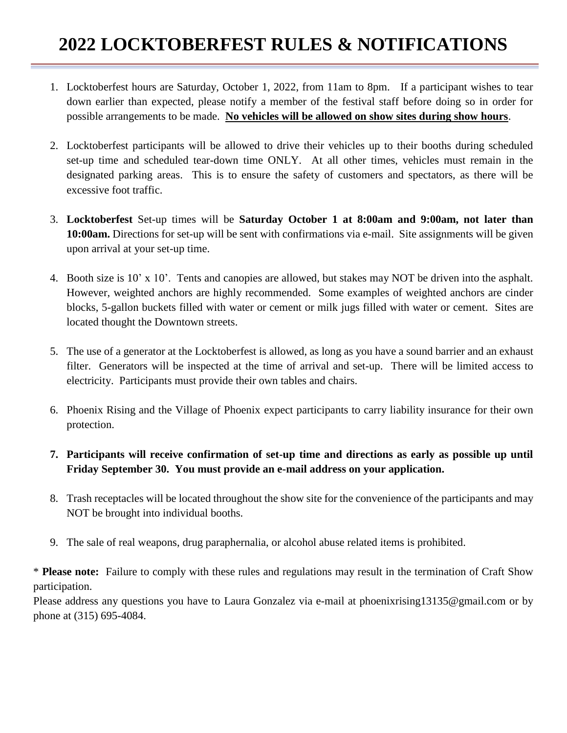## **2022 LOCKTOBERFEST RULES & NOTIFICATIONS**

- 1. Locktoberfest hours are Saturday, October 1, 2022, from 11am to 8pm. If a participant wishes to tear down earlier than expected, please notify a member of the festival staff before doing so in order for possible arrangements to be made. **No vehicles will be allowed on show sites during show hours**.
- 2. Locktoberfest participants will be allowed to drive their vehicles up to their booths during scheduled set-up time and scheduled tear-down time ONLY. At all other times, vehicles must remain in the designated parking areas. This is to ensure the safety of customers and spectators, as there will be excessive foot traffic.
- 3. **Locktoberfest** Set-up times will be **Saturday October 1 at 8:00am and 9:00am, not later than 10:00am.** Directions for set-up will be sent with confirmations via e-mail. Site assignments will be given upon arrival at your set-up time.
- 4. Booth size is 10' x 10'. Tents and canopies are allowed, but stakes may NOT be driven into the asphalt. However, weighted anchors are highly recommended. Some examples of weighted anchors are cinder blocks, 5-gallon buckets filled with water or cement or milk jugs filled with water or cement. Sites are located thought the Downtown streets.
- 5. The use of a generator at the Locktoberfest is allowed, as long as you have a sound barrier and an exhaust filter. Generators will be inspected at the time of arrival and set-up. There will be limited access to electricity. Participants must provide their own tables and chairs.
- 6. Phoenix Rising and the Village of Phoenix expect participants to carry liability insurance for their own protection.
- **7. Participants will receive confirmation of set-up time and directions as early as possible up until Friday September 30. You must provide an e-mail address on your application.**
- 8. Trash receptacles will be located throughout the show site for the convenience of the participants and may NOT be brought into individual booths.
- 9. The sale of real weapons, drug paraphernalia, or alcohol abuse related items is prohibited.

\* **Please note:** Failure to comply with these rules and regulations may result in the termination of Craft Show participation.

Please address any questions you have to Laura Gonzalez via e-mail at phoenixrising13135@gmail.com or by phone at (315) 695-4084.